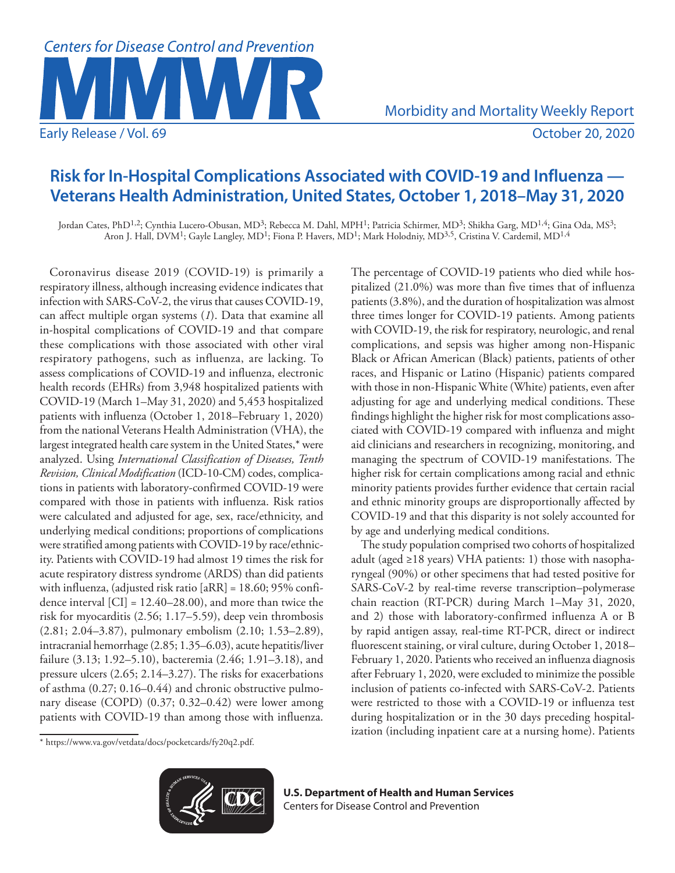

Morbidity and Mortality Weekly Report

# **Risk for In-Hospital Complications Associated with COVID-19 and Influenza — Veterans Health Administration, United States, October 1, 2018–May 31, 2020**

Jordan Cates, PhD<sup>1,2</sup>; Cynthia Lucero-Obusan, MD<sup>3</sup>; Rebecca M. Dahl, MPH<sup>1</sup>; Patricia Schirmer, MD<sup>3</sup>; Shikha Garg, MD<sup>1,4</sup>; Gina Oda, MS<sup>3</sup>; Aron J. Hall, DVM<sup>1</sup>; Gayle Langley, MD<sup>1</sup>; Fiona P. Havers, MD<sup>1</sup>; Mark Holodniy, MD<sup>3,5</sup>, Cristina V. Cardemil, MD<sup>1,4</sup>

Coronavirus disease 2019 (COVID-19) is primarily a respiratory illness, although increasing evidence indicates that infection with SARS-CoV-2, the virus that causes COVID-19, can affect multiple organ systems (*1*). Data that examine all in-hospital complications of COVID-19 and that compare these complications with those associated with other viral respiratory pathogens, such as influenza, are lacking. To assess complications of COVID-19 and influenza, electronic health records (EHRs) from 3,948 hospitalized patients with COVID-19 (March 1–May 31, 2020) and 5,453 hospitalized patients with influenza (October 1, 2018–February 1, 2020) from the national Veterans Health Administration (VHA), the largest integrated health care system in the United States,\* were analyzed. Using *International Classification of Diseases, Tenth Revision, Clinical Modification* (ICD-10-CM) codes, complications in patients with laboratory-confirmed COVID-19 were compared with those in patients with influenza. Risk ratios were calculated and adjusted for age, sex, race/ethnicity, and underlying medical conditions; proportions of complications were stratified among patients with COVID-19 by race/ethnicity. Patients with COVID-19 had almost 19 times the risk for acute respiratory distress syndrome (ARDS) than did patients with influenza, (adjusted risk ratio [aRR] = 18.60; 95% confidence interval  $\text{[CI]} = 12.40{\text -}28.00$ , and more than twice the risk for myocarditis (2.56; 1.17–5.59), deep vein thrombosis (2.81; 2.04–3.87), pulmonary embolism (2.10; 1.53–2.89), intracranial hemorrhage (2.85; 1.35–6.03), acute hepatitis/liver failure (3.13; 1.92–5.10), bacteremia (2.46; 1.91–3.18), and pressure ulcers (2.65; 2.14–3.27). The risks for exacerbations of asthma (0.27; 0.16–0.44) and chronic obstructive pulmonary disease (COPD) (0.37; 0.32–0.42) were lower among patients with COVID-19 than among those with influenza. The percentage of COVID-19 patients who died while hospitalized (21.0%) was more than five times that of influenza patients (3.8%), and the duration of hospitalization was almost three times longer for COVID-19 patients. Among patients with COVID-19, the risk for respiratory, neurologic, and renal complications, and sepsis was higher among non-Hispanic Black or African American (Black) patients, patients of other races, and Hispanic or Latino (Hispanic) patients compared with those in non-Hispanic White (White) patients, even after adjusting for age and underlying medical conditions. These findings highlight the higher risk for most complications associated with COVID-19 compared with influenza and might aid clinicians and researchers in recognizing, monitoring, and managing the spectrum of COVID-19 manifestations. The higher risk for certain complications among racial and ethnic minority patients provides further evidence that certain racial and ethnic minority groups are disproportionally affected by COVID-19 and that this disparity is not solely accounted for by age and underlying medical conditions.

The study population comprised two cohorts of hospitalized adult (aged  $\geq$ 18 years) VHA patients: 1) those with nasopharyngeal (90%) or other specimens that had tested positive for SARS-CoV-2 by real-time reverse transcription–polymerase chain reaction (RT-PCR) during March 1–May 31, 2020, and 2) those with laboratory-confirmed influenza A or B by rapid antigen assay, real-time RT-PCR, direct or indirect fluorescent staining, or viral culture, during October 1, 2018– February 1, 2020. Patients who received an influenza diagnosis after February 1, 2020, were excluded to minimize the possible inclusion of patients co-infected with SARS-CoV-2. Patients were restricted to those with a COVID-19 or influenza test during hospitalization or in the 30 days preceding hospitalization (including inpatient care at a nursing home). Patients

<sup>\*</sup> [https://www.va.gov/vetdata/docs/pocketcards/fy20q2.pdf.](https://www.va.gov/vetdata/docs/pocketcards/fy20q2.pdf)



**U.S. Department of Health and Human Services** Centers for Disease Control and Prevention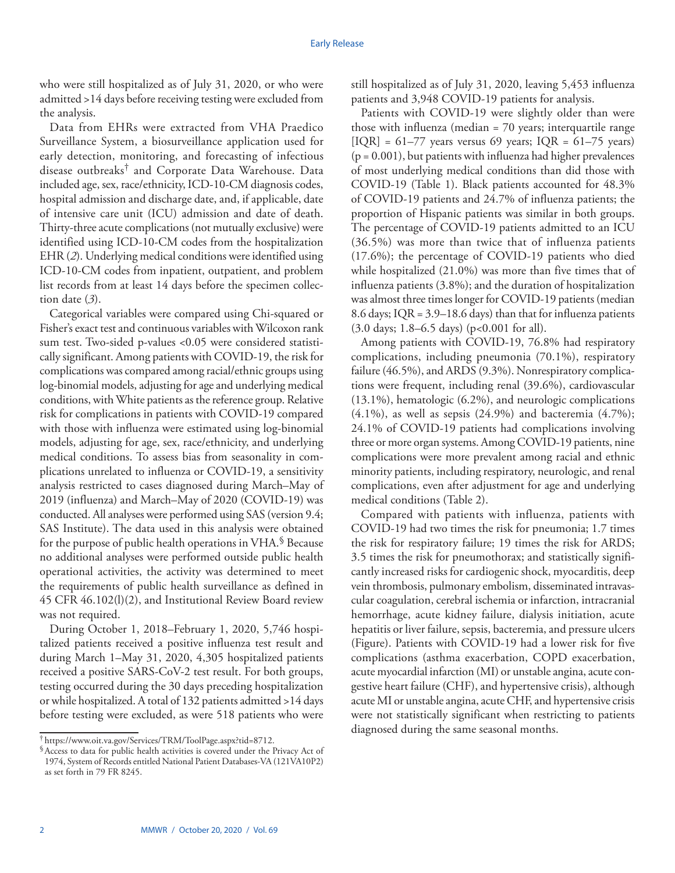who were still hospitalized as of July 31, 2020, or who were admitted >14 days before receiving testing were excluded from the analysis.

Data from EHRs were extracted from VHA Praedico Surveillance System, a biosurveillance application used for early detection, monitoring, and forecasting of infectious disease outbreaks† and Corporate Data Warehouse. Data included age, sex, race/ethnicity, ICD-10-CM diagnosis codes, hospital admission and discharge date, and, if applicable, date of intensive care unit (ICU) admission and date of death. Thirty-three acute complications (not mutually exclusive) were identified using ICD-10-CM codes from the hospitalization EHR (*2*). Underlying medical conditions were identified using ICD-10-CM codes from inpatient, outpatient, and problem list records from at least 14 days before the specimen collection date (*3*).

Categorical variables were compared using Chi-squared or Fisher's exact test and continuous variables with Wilcoxon rank sum test. Two-sided p-values <0.05 were considered statistically significant. Among patients with COVID-19, the risk for complications was compared among racial/ethnic groups using log-binomial models, adjusting for age and underlying medical conditions, with White patients as the reference group. Relative risk for complications in patients with COVID-19 compared with those with influenza were estimated using log-binomial models, adjusting for age, sex, race/ethnicity, and underlying medical conditions. To assess bias from seasonality in complications unrelated to influenza or COVID-19, a sensitivity analysis restricted to cases diagnosed during March–May of 2019 (influenza) and March–May of 2020 (COVID-19) was conducted. All analyses were performed using SAS (version 9.4; SAS Institute). The data used in this analysis were obtained for the purpose of public health operations in VHA.§ Because no additional analyses were performed outside public health operational activities, the activity was determined to meet the requirements of public health surveillance as defined in 45 CFR 46.102(l)(2), and Institutional Review Board review was not required.

During October 1, 2018–February 1, 2020, 5,746 hospitalized patients received a positive influenza test result and during March 1–May 31, 2020, 4,305 hospitalized patients received a positive SARS-CoV-2 test result. For both groups, testing occurred during the 30 days preceding hospitalization or while hospitalized. A total of 132 patients admitted >14 days before testing were excluded, as were 518 patients who were still hospitalized as of July 31, 2020, leaving 5,453 influenza patients and 3,948 COVID-19 patients for analysis.

Patients with COVID-19 were slightly older than were those with influenza (median = 70 years; interquartile range  $[IQR] = 61-77$  years versus 69 years;  $IQR = 61-75$  years)  $(p = 0.001)$ , but patients with influenza had higher prevalences of most underlying medical conditions than did those with COVID-19 (Table 1). Black patients accounted for 48.3% of COVID-19 patients and 24.7% of influenza patients; the proportion of Hispanic patients was similar in both groups. The percentage of COVID-19 patients admitted to an ICU (36.5%) was more than twice that of influenza patients (17.6%); the percentage of COVID-19 patients who died while hospitalized (21.0%) was more than five times that of influenza patients (3.8%); and the duration of hospitalization was almost three times longer for COVID-19 patients (median 8.6 days; IQR = 3.9–18.6 days) than that for influenza patients (3.0 days; 1.8–6.5 days) (p<0.001 for all).

Among patients with COVID-19, 76.8% had respiratory complications, including pneumonia (70.1%), respiratory failure (46.5%), and ARDS (9.3%). Nonrespiratory complications were frequent, including renal (39.6%), cardiovascular (13.1%), hematologic (6.2%), and neurologic complications  $(4.1\%)$ , as well as sepsis  $(24.9\%)$  and bacteremia  $(4.7\%)$ ; 24.1% of COVID-19 patients had complications involving three or more organ systems. Among COVID-19 patients, nine complications were more prevalent among racial and ethnic minority patients, including respiratory, neurologic, and renal complications, even after adjustment for age and underlying medical conditions (Table 2).

Compared with patients with influenza, patients with COVID-19 had two times the risk for pneumonia; 1.7 times the risk for respiratory failure; 19 times the risk for ARDS; 3.5 times the risk for pneumothorax; and statistically significantly increased risks for cardiogenic shock, myocarditis, deep vein thrombosis, pulmonary embolism, disseminated intravascular coagulation, cerebral ischemia or infarction, intracranial hemorrhage, acute kidney failure, dialysis initiation, acute hepatitis or liver failure, sepsis, bacteremia, and pressure ulcers (Figure). Patients with COVID-19 had a lower risk for five complications (asthma exacerbation, COPD exacerbation, acute myocardial infarction (MI) or unstable angina, acute congestive heart failure (CHF), and hypertensive crisis), although acute MI or unstable angina, acute CHF, and hypertensive crisis were not statistically significant when restricting to patients diagnosed during the same seasonal months.

<sup>&</sup>lt;sup>†</sup> <https://www.oit.va.gov/Services/TRM/ToolPage.aspx?tid=8712>.<br><sup>§</sup> Access to data for public health activities is covered under the Privacy Act of 1974, System of Records entitled National Patient Databases-VA (121VA10P2) as set forth in 79 FR 8245.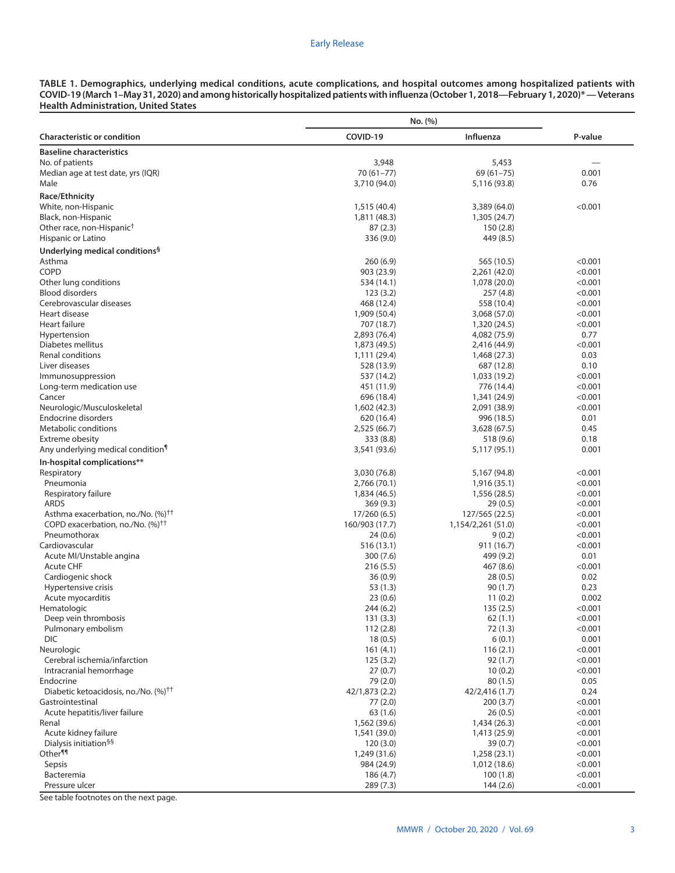# Early Release

**TABLE 1. Demographics, underlying medical conditions, acute complications, and hospital outcomes among hospitalized patients with COVID-19 (March 1–May 31, 2020) and among historically hospitalized patients with influenza (October 1, 2018—February 1, 2020)\* — Veterans Health Administration, United States**

|                                                                                                | No. (%)                   |                              |                    |  |  |
|------------------------------------------------------------------------------------------------|---------------------------|------------------------------|--------------------|--|--|
| <b>Characteristic or condition</b>                                                             | COVID-19                  | Influenza                    | P-value            |  |  |
| <b>Baseline characteristics</b>                                                                |                           |                              |                    |  |  |
| No. of patients                                                                                | 3,948                     | 5,453                        |                    |  |  |
| Median age at test date, yrs (IQR)                                                             | $70(61 - 77)$             | $69(61 - 75)$                | 0.001              |  |  |
| Male                                                                                           | 3,710 (94.0)              | 5,116 (93.8)                 | 0.76               |  |  |
| Race/Ethnicity                                                                                 |                           |                              |                    |  |  |
| White, non-Hispanic                                                                            | 1,515 (40.4)              | 3,389 (64.0)                 | < 0.001            |  |  |
| Black, non-Hispanic                                                                            | 1,811 (48.3)              | 1,305 (24.7)                 |                    |  |  |
| Other race, non-Hispanic <sup>†</sup>                                                          | 87(2.3)                   | 150(2.8)                     |                    |  |  |
| Hispanic or Latino                                                                             | 336 (9.0)                 | 449 (8.5)                    |                    |  |  |
| Underlying medical conditions <sup>§</sup>                                                     |                           |                              |                    |  |  |
| Asthma                                                                                         | 260(6.9)                  | 565 (10.5)                   | < 0.001            |  |  |
| <b>COPD</b>                                                                                    | 903 (23.9)                | 2,261 (42.0)                 | < 0.001            |  |  |
| Other lung conditions<br><b>Blood disorders</b>                                                | 534 (14.1)                | 1,078 (20.0)                 | < 0.001<br>< 0.001 |  |  |
| Cerebrovascular diseases                                                                       | 123(3.2)<br>468 (12.4)    | 257 (4.8)<br>558 (10.4)      | < 0.001            |  |  |
| Heart disease                                                                                  | 1,909 (50.4)              | 3,068 (57.0)                 | < 0.001            |  |  |
| Heart failure                                                                                  | 707 (18.7)                | 1,320 (24.5)                 | < 0.001            |  |  |
| Hypertension                                                                                   | 2,893 (76.4)              | 4,082 (75.9)                 | 0.77               |  |  |
| Diabetes mellitus                                                                              | 1,873 (49.5)              | 2,416 (44.9)                 | < 0.001            |  |  |
| Renal conditions                                                                               | 1,111 (29.4)              | 1,468 (27.3)                 | 0.03               |  |  |
| Liver diseases                                                                                 | 528 (13.9)                | 687 (12.8)                   | 0.10               |  |  |
| Immunosuppression                                                                              | 537 (14.2)                | 1,033 (19.2)                 | < 0.001            |  |  |
| Long-term medication use                                                                       | 451 (11.9)                | 776 (14.4)                   | < 0.001            |  |  |
| Cancer                                                                                         | 696 (18.4)                | 1,341 (24.9)                 | < 0.001            |  |  |
| Neurologic/Musculoskeletal                                                                     | 1,602 (42.3)              | 2,091 (38.9)                 | < 0.001            |  |  |
| Endocrine disorders                                                                            | 620 (16.4)                | 996 (18.5)                   | 0.01               |  |  |
| Metabolic conditions                                                                           | 2,525 (66.7)              | 3,628 (67.5)                 | 0.45               |  |  |
| Extreme obesity                                                                                | 333 (8.8)                 | 518 (9.6)                    | 0.18               |  |  |
| Any underlying medical condition <sup>1</sup>                                                  | 3,541 (93.6)              | 5,117 (95.1)                 | 0.001              |  |  |
| In-hospital complications**                                                                    |                           |                              |                    |  |  |
| Respiratory                                                                                    | 3,030 (76.8)              | 5,167 (94.8)                 | < 0.001            |  |  |
| Pneumonia                                                                                      | 2,766 (70.1)              | 1,916 (35.1)                 | < 0.001            |  |  |
| Respiratory failure                                                                            | 1,834 (46.5)              | 1,556 (28.5)                 | < 0.001            |  |  |
| <b>ARDS</b>                                                                                    | 369 (9.3)                 | 29(0.5)                      | < 0.001            |  |  |
| Asthma exacerbation, no./No. (%) <sup>††</sup><br>COPD exacerbation, no./No. (%) <sup>††</sup> | 17/260(6.5)               | 127/565 (22.5)               | < 0.001            |  |  |
| Pneumothorax                                                                                   | 160/903 (17.7)<br>24(0.6) | 1,154/2,261 (51.0)<br>9(0.2) | < 0.001<br>< 0.001 |  |  |
| Cardiovascular                                                                                 | 516 (13.1)                | 911 (16.7)                   | < 0.001            |  |  |
| Acute MI/Unstable angina                                                                       | 300 (7.6)                 | 499 (9.2)                    | 0.01               |  |  |
| <b>Acute CHF</b>                                                                               | 216 (5.5)                 | 467 (8.6)                    | < 0.001            |  |  |
| Cardiogenic shock                                                                              | 36 (0.9)                  | 28(0.5)                      | 0.02               |  |  |
| Hypertensive crisis                                                                            | 53 (1.3)                  | 90(1.7)                      | 0.23               |  |  |
| Acute myocarditis                                                                              | 23(0.6)                   | 11(0.2)                      | 0.002              |  |  |
| Hematologic                                                                                    | 244 (6.2)                 | 135(2.5)                     | < 0.001            |  |  |
| Deep vein thrombosis                                                                           | 131(3.3)                  | 62(1.1)                      | < 0.001            |  |  |
| Pulmonary embolism                                                                             | 112(2.8)                  | 72(1.3)                      | < 0.001            |  |  |
| DIC.                                                                                           | 18(0.5)                   | 6(0.1)                       | 0.001              |  |  |
| Neurologic                                                                                     | 161(4.1)                  | 116(2.1)                     | < 0.001            |  |  |
| Cerebral ischemia/infarction                                                                   | 125(3.2)                  | 92(1.7)                      | < 0.001            |  |  |
| Intracranial hemorrhage                                                                        | 27(0.7)                   | 10(0.2)                      | < 0.001            |  |  |
| Endocrine                                                                                      | 79 (2.0)                  | 80(1.5)                      | 0.05               |  |  |
| Diabetic ketoacidosis, no./No. (%) <sup>††</sup>                                               | 42/1,873 (2.2)            | 42/2,416 (1.7)               | 0.24               |  |  |
| Gastrointestinal<br>Acute hepatitis/liver failure                                              | 77(2.0)<br>63(1.6)        | 200 (3.7)<br>26(0.5)         | < 0.001<br>< 0.001 |  |  |
| Renal                                                                                          | 1,562 (39.6)              | 1,434 (26.3)                 | < 0.001            |  |  |
| Acute kidney failure                                                                           | 1,541 (39.0)              | 1,413 (25.9)                 | < 0.001            |  |  |
| Dialysis initiation <sup>§§</sup>                                                              | 120(3.0)                  | 39(0.7)                      | < 0.001            |  |  |
| Other <sup>¶¶</sup>                                                                            | 1,249 (31.6)              | 1,258(23.1)                  | < 0.001            |  |  |
| Sepsis                                                                                         | 984 (24.9)                | 1,012 (18.6)                 | < 0.001            |  |  |
| Bacteremia                                                                                     | 186 (4.7)                 | 100(1.8)                     | < 0.001            |  |  |
| Pressure ulcer                                                                                 | 289 (7.3)                 | 144(2.6)                     | < 0.001            |  |  |

See table footnotes on the next page.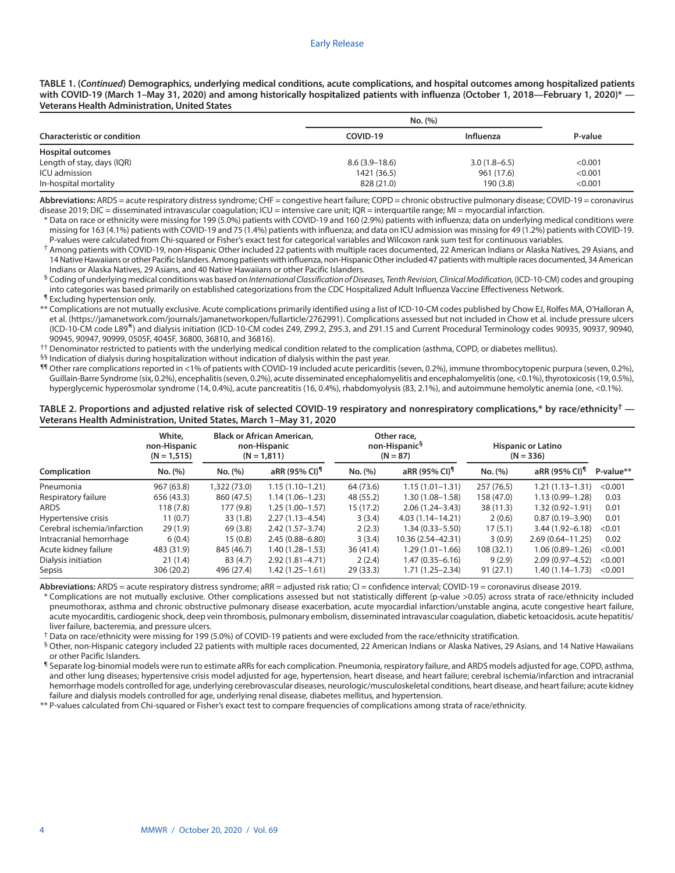**TABLE 1. (***Continued***) Demographics, underlying medical conditions, acute complications, and hospital outcomes among hospitalized patients with COVID-19 (March 1–May 31, 2020) and among historically hospitalized patients with influenza (October 1, 2018—February 1, 2020)\* — Veterans Health Administration, United States**

|                                    | No. (%)         |                |         |
|------------------------------------|-----------------|----------------|---------|
| <b>Characteristic or condition</b> | COVID-19        | Influenza      | P-value |
| <b>Hospital outcomes</b>           |                 |                |         |
| Length of stay, days (IQR)         | $8.6(3.9-18.6)$ | $3.0(1.8-6.5)$ | < 0.001 |
| ICU admission                      | 1421 (36.5)     | 961 (17.6)     | < 0.001 |
| In-hospital mortality              | 828 (21.0)      | 190(3.8)       | < 0.001 |

**Abbreviations:** ARDS = acute respiratory distress syndrome; CHF = congestive heart failure; COPD = chronic obstructive pulmonary disease; COVID-19 = coronavirus disease 2019; DIC = disseminated intravascular coagulation; ICU = intensive care unit; IQR = interquartile range; MI = myocardial infarction.

\* Data on race or ethnicity were missing for 199 (5.0%) patients with COVID-19 and 160 (2.9%) patients with influenza; data on underlying medical conditions were missing for 163 (4.1%) patients with COVID-19 and 75 (1.4%) patients with influenza; and data on ICU admission was missing for 49 (1.2%) patients with COVID-19. P-values were calculated from Chi-squared or Fisher's exact test for categorical variables and Wilcoxon rank sum test for continuous variables.

† Among patients with COVID-19, non-Hispanic Other included 22 patients with multiple races documented, 22 American Indians or Alaska Natives, 29 Asians, and 14 Native Hawaiians or other Pacific Islanders. Among patients with influenza, non-Hispanic Other included 47 patients with multiple races documented, 34 American Indians or Alaska Natives, 29 Asians, and 40 Native Hawaiians or other Pacific Islanders.

§ Coding of underlying medical conditions was based on *International Classification of Diseases, Tenth Revision, Clinical Modification,* (ICD-10-CM) codes and grouping into categories was based primarily on established categorizations from the CDC Hospitalized Adult Influenza Vaccine Effectiveness Network.

¶ Excluding hypertension only.

\*\* Complications are not mutually exclusive. Acute complications primarily identified using a list of ICD-10-CM codes published by Chow EJ, Rolfes MA, O'Halloran A, et al. (https://jamanetwork.com/journals/jamanetworkopen/fullarticle/2762991). Complications assessed but not included in Chow et al. include pressure ulcers (ICD-10-CM code L89\*) and dialysis initiation (ICD-10-CM codes Z49, Z99.2, Z95.3, and Z91.15 and Current Procedural Terminology codes 90935, 90937, 90940, 90945, 90947, 90999, 0505F, 4045F, 36800, 36810, and 36816).

 $^{++}$  Denominator restricted to patients with the underlying medical condition related to the complication (asthma, COPD, or diabetes mellitus).

§§ Indication of dialysis during hospitalization without indication of dialysis within the past year.

¶¶ Other rare complications reported in <1% of patients with COVID-19 included acute pericarditis (seven, 0.2%), immune thrombocytopenic purpura (seven, 0.2%), Guillain-Barre Syndrome (six, 0.2%), encephalitis (seven, 0.2%), acute disseminated encephalomyelitis and encephalomyelitis (one, <0.1%), thyrotoxicosis (19, 0.5%), hyperglycemic hyperosmolar syndrome (14, 0.4%), acute pancreatitis (16, 0.4%), rhabdomyolysis (83, 2.1%), and autoimmune hemolytic anemia (one, <0.1%).

#### **TABLE 2. Proportions and adjusted relative risk of selected COVID-19 respiratory and nonrespiratory complications,\* by race/ethnicity† — Veterans Health Administration, United States, March 1–May 31, 2020**

|                              | White.<br>non-Hispanic<br>$(N = 1, 515)$ |              | <b>Black or African American.</b><br>Other race,<br>non-Hispanic <sup>§</sup><br>non-Hispanic<br>$(N = 87)$<br>$(N = 1, 811)$ |           |                           | <b>Hispanic or Latino</b><br>$(N = 336)$ |                           |           |
|------------------------------|------------------------------------------|--------------|-------------------------------------------------------------------------------------------------------------------------------|-----------|---------------------------|------------------------------------------|---------------------------|-----------|
| Complication                 | No. (%)                                  | No. (%)      | aRR (95% CI) <sup>¶</sup>                                                                                                     | No. (%)   | aRR (95% CI) <sup>¶</sup> | No. (%)                                  | aRR (95% CI) <sup>¶</sup> | P-value** |
| Pneumonia                    | 967 (63.8)                               | 1,322 (73.0) | $1.15(1.10-1.21)$                                                                                                             | 64 (73.6) | $1.15(1.01 - 1.31)$       | 257 (76.5)                               | $1.21(1.13 - 1.31)$       | < 0.001   |
| Respiratory failure          | 656 (43.3)                               | 860 (47.5)   | $1.14(1.06 - 1.23)$                                                                                                           | 48 (55.2) | 1.30 (1.08-1.58)          | 158 (47.0)                               | $1.13(0.99 - 1.28)$       | 0.03      |
| ARDS                         | 118(7.8)                                 | 177(9.8)     | $1.25(1.00-1.57)$                                                                                                             | 15(17.2)  | $2.06(1.24 - 3.43)$       | 38(11.3)                                 | $1.32(0.92 - 1.91)$       | 0.01      |
| Hypertensive crisis          | 11(0.7)                                  | 33(1.8)      | $2.27(1.13 - 4.54)$                                                                                                           | 3(3.4)    | $4.03(1.14 - 14.21)$      | 2(0.6)                                   | $0.87(0.19 - 3.90)$       | 0.01      |
| Cerebral ischemia/infarction | 29(1.9)                                  | 69(3.8)      | $2.42(1.57-3.74)$                                                                                                             | 2(2.3)    | $1.34(0.33 - 5.50)$       | 17(5.1)                                  | $3.44(1.92 - 6.18)$       | < 0.01    |
| Intracranial hemorrhage      | 6(0.4)                                   | 15(0.8)      | $2.45(0.88 - 6.80)$                                                                                                           | 3(3.4)    | 10.36 (2.54–42.31)        | 3(0.9)                                   | $2.69(0.64 - 11.25)$      | 0.02      |
| Acute kidney failure         | 483 (31.9)                               | 845 (46.7)   | $1.40(1.28 - 1.53)$                                                                                                           | 36(41.4)  | $1.29(1.01 - 1.66)$       | 108 (32.1)                               | $1.06(0.89 - 1.26)$       | < 0.001   |
| Dialysis initiation          | 21(1.4)                                  | 83 (4.7)     | $2.92(1.81 - 4.71)$                                                                                                           | 2(2.4)    | $1.47(0.35 - 6.16)$       | 9(2.9)                                   | $2.09(0.97 - 4.52)$       | < 0.001   |
| Sepsis                       | 306 (20.2)                               | 496 (27.4)   | $1.42(1.25 - 1.61)$                                                                                                           | 29(33.3)  | 1.71 (1.25–2.34)          | 91(27.1)                                 | 1.40 (1.14–1.73)          | < 0.001   |

Abbreviations: ARDS = acute respiratory distress syndrome; aRR = adjusted risk ratio; CI = confidence interval; COVID-19 = coronavirus disease 2019.

\* Complications are not mutually exclusive. Other complications assessed but not statistically different (p-value >0.05) across strata of race/ethnicity included pneumothorax, asthma and chronic obstructive pulmonary disease exacerbation, acute myocardial infarction/unstable angina, acute congestive heart failure, acute myocarditis, cardiogenic shock, deep vein thrombosis, pulmonary embolism, disseminated intravascular coagulation, diabetic ketoacidosis, acute hepatitis/ liver failure, bacteremia, and pressure ulcers.

† Data on race/ethnicity were missing for 199 (5.0%) of COVID-19 patients and were excluded from the race/ethnicity stratification.

§ Other, non-Hispanic category included 22 patients with multiple races documented, 22 American Indians or Alaska Natives, 29 Asians, and 14 Native Hawaiians or other Pacific Islanders.

¶ Separate log-binomial models were run to estimate aRRs for each complication. Pneumonia, respiratory failure, and ARDS models adjusted for age, COPD, asthma, and other lung diseases; hypertensive crisis model adjusted for age, hypertension, heart disease, and heart failure; cerebral ischemia/infarction and intracranial hemorrhage models controlled for age, underlying cerebrovascular diseases, neurologic/musculoskeletal conditions, heart disease, and heart failure; acute kidney failure and dialysis models controlled for age, underlying renal disease, diabetes mellitus, and hypertension.

\*\* P-values calculated from Chi-squared or Fisher's exact test to compare frequencies of complications among strata of race/ethnicity.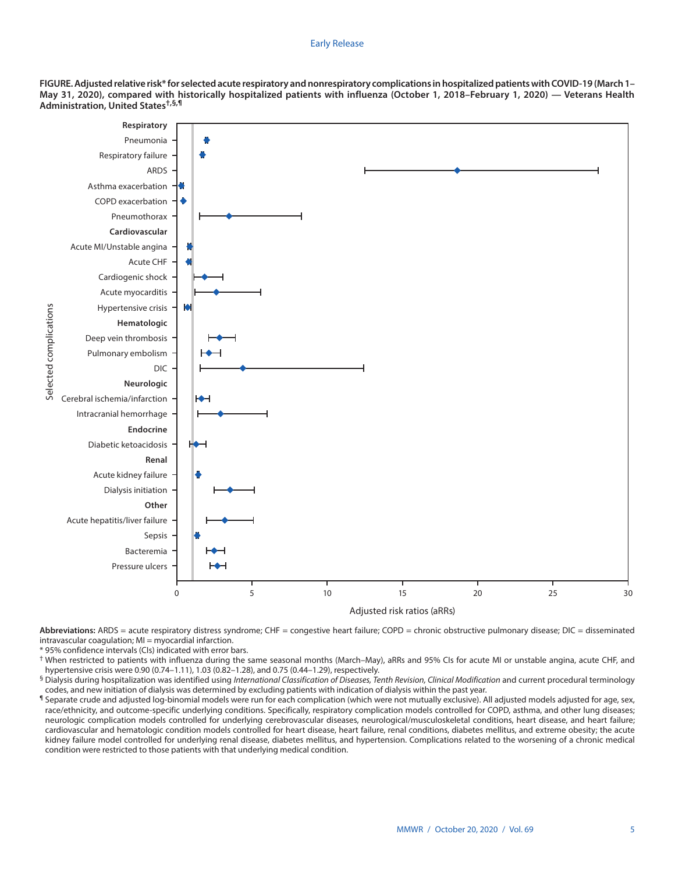#### Early Release

**FIGURE. Adjusted relative risk\* for selected acute respiratory and nonrespiratory complications in hospitalized patients with COVID-19 (March 1– May 31, 2020), compared with historically hospitalized patients with influenza (October 1, 2018–February 1, 2020) — Veterans Health Administration, United States†,§,¶**



Abbreviations: ARDS = acute respiratory distress syndrome; CHF = congestive heart failure; COPD = chronic obstructive pulmonary disease; DIC = disseminated intravascular coagulation; MI = myocardial infarction.

\* 95% confidence intervals (CIs) indicated with error bars.

† When restricted to patients with influenza during the same seasonal months (March–May), aRRs and 95% CIs for acute MI or unstable angina, acute CHF, and hypertensive crisis were 0.90 (0.74–1.11), 1.03 (0.82–1.28), and 0.75 (0.44–1.29), respectively.

§ Dialysis during hospitalization was identified using *International Classification of Diseases, Tenth Revision, Clinical Modification* and current procedural terminology codes, and new initiation of dialysis was determined by excluding patients with indication of dialysis within the past year.

¶ Separate crude and adjusted log-binomial models were run for each complication (which were not mutually exclusive). All adjusted models adjusted for age, sex, race/ethnicity, and outcome-specific underlying conditions. Specifically, respiratory complication models controlled for COPD, asthma, and other lung diseases; neurologic complication models controlled for underlying cerebrovascular diseases, neurological/musculoskeletal conditions, heart disease, and heart failure; cardiovascular and hematologic condition models controlled for heart disease, heart failure, renal conditions, diabetes mellitus, and extreme obesity; the acute kidney failure model controlled for underlying renal disease, diabetes mellitus, and hypertension. Complications related to the worsening of a chronic medical condition were restricted to those patients with that underlying medical condition.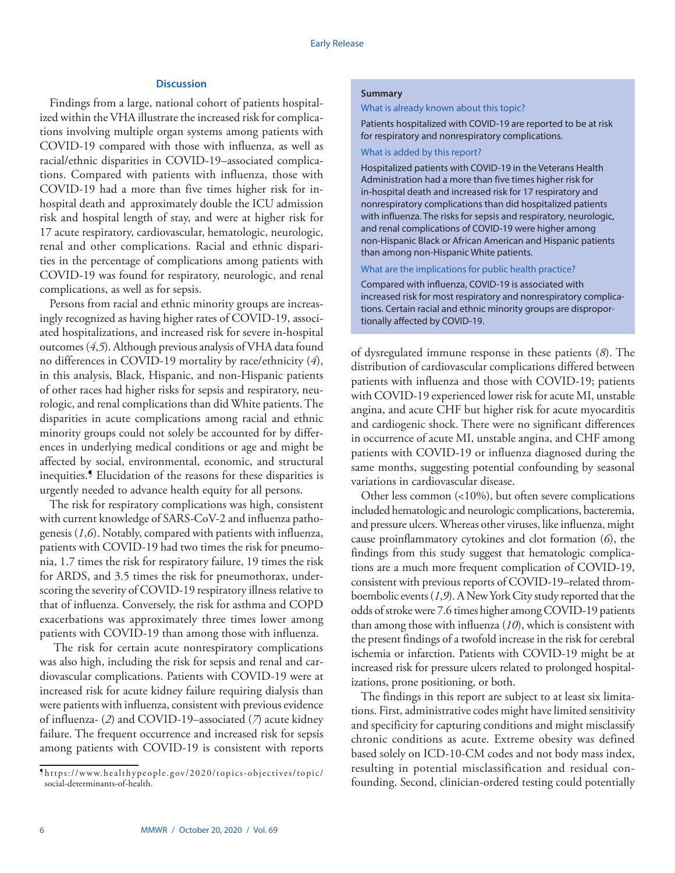#### **Discussion**

Findings from a large, national cohort of patients hospitalized within the VHA illustrate the increased risk for complications involving multiple organ systems among patients with COVID-19 compared with those with influenza, as well as racial/ethnic disparities in COVID-19–associated complications. Compared with patients with influenza, those with COVID-19 had a more than five times higher risk for inhospital death and approximately double the ICU admission risk and hospital length of stay, and were at higher risk for 17 acute respiratory, cardiovascular, hematologic, neurologic, renal and other complications. Racial and ethnic disparities in the percentage of complications among patients with COVID-19 was found for respiratory, neurologic, and renal complications, as well as for sepsis.

Persons from racial and ethnic minority groups are increasingly recognized as having higher rates of COVID-19, associated hospitalizations, and increased risk for severe in-hospital outcomes (*4*,*5*). Although previous analysis of VHA data found no differences in COVID-19 mortality by race/ethnicity (*4*), in this analysis, Black, Hispanic, and non-Hispanic patients of other races had higher risks for sepsis and respiratory, neurologic, and renal complications than did White patients. The disparities in acute complications among racial and ethnic minority groups could not solely be accounted for by differences in underlying medical conditions or age and might be affected by social, environmental, economic, and structural inequities.¶ Elucidation of the reasons for these disparities is urgently needed to advance health equity for all persons.

The risk for respiratory complications was high, consistent with current knowledge of SARS-CoV-2 and influenza pathogenesis (*1*,*6*). Notably, compared with patients with influenza, patients with COVID-19 had two times the risk for pneumonia, 1.7 times the risk for respiratory failure, 19 times the risk for ARDS, and 3.5 times the risk for pneumothorax, underscoring the severity of COVID-19 respiratory illness relative to that of influenza. Conversely, the risk for asthma and COPD exacerbations was approximately three times lower among patients with COVID-19 than among those with influenza.

 The risk for certain acute nonrespiratory complications was also high, including the risk for sepsis and renal and cardiovascular complications. Patients with COVID-19 were at increased risk for acute kidney failure requiring dialysis than were patients with influenza, consistent with previous evidence of influenza- (*2*) and COVID-19–associated (*7*) acute kidney failure. The frequent occurrence and increased risk for sepsis among patients with COVID-19 is consistent with reports

## **Summary**

What is already known about this topic?

Patients hospitalized with COVID-19 are reported to be at risk for respiratory and nonrespiratory complications.

## What is added by this report?

Hospitalized patients with COVID-19 in the Veterans Health Administration had a more than five times higher risk for in-hospital death and increased risk for 17 respiratory and nonrespiratory complications than did hospitalized patients with influenza. The risks for sepsis and respiratory, neurologic, and renal complications of COVID-19 were higher among non-Hispanic Black or African American and Hispanic patients than among non-Hispanic White patients.

## What are the implications for public health practice?

Compared with influenza, COVID-19 is associated with increased risk for most respiratory and nonrespiratory complications. Certain racial and ethnic minority groups are disproportionally affected by COVID-19.

of dysregulated immune response in these patients (*8*). The distribution of cardiovascular complications differed between patients with influenza and those with COVID-19; patients with COVID-19 experienced lower risk for acute MI, unstable angina, and acute CHF but higher risk for acute myocarditis and cardiogenic shock. There were no significant differences in occurrence of acute MI, unstable angina, and CHF among patients with COVID-19 or influenza diagnosed during the same months, suggesting potential confounding by seasonal variations in cardiovascular disease.

Other less common (<10%), but often severe complications included hematologic and neurologic complications, bacteremia, and pressure ulcers. Whereas other viruses, like influenza, might cause proinflammatory cytokines and clot formation (*6*), the findings from this study suggest that hematologic complications are a much more frequent complication of COVID-19, consistent with previous reports of COVID-19–related thromboembolic events (*1*,*9*). A New York City study reported that the odds of stroke were 7.6 times higher among COVID-19 patients than among those with influenza (*10*), which is consistent with the present findings of a twofold increase in the risk for cerebral ischemia or infarction. Patients with COVID-19 might be at increased risk for pressure ulcers related to prolonged hospitalizations, prone positioning, or both.

The findings in this report are subject to at least six limitations. First, administrative codes might have limited sensitivity and specificity for capturing conditions and might misclassify chronic conditions as acute. Extreme obesity was defined based solely on ICD-10-CM codes and not body mass index, resulting in potential misclassification and residual confounding. Second, clinician-ordered testing could potentially

<sup>¶</sup> [https://www.healthypeople.gov/2020/topics-objectives/topic/](https://www.healthypeople.gov/2020/topics-objectives/topic/social-determinants-of-health) [social-determinants-of-health.](https://www.healthypeople.gov/2020/topics-objectives/topic/social-determinants-of-health)